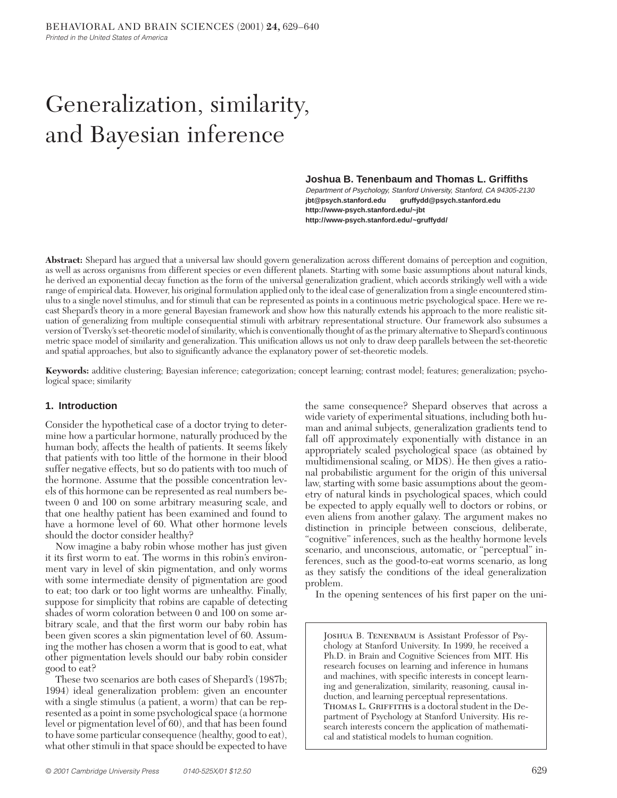# Generalization, similarity, and Bayesian inference

## **Joshua B. Tenenbaum and Thomas L. Griffiths**

Department of Psychology, Stanford University, Stanford, CA 94305-2130 **jbt@psych.stanford.edu gruffydd@psych.stanford.edu http://www-psych.stanford.edu/~jbt http://www-psych.stanford.edu/~gruffydd/**

**Abstract:** Shepard has argued that a universal law should govern generalization across different domains of perception and cognition, as well as across organisms from different species or even different planets. Starting with some basic assumptions about natural kinds, he derived an exponential decay function as the form of the universal generalization gradient, which accords strikingly well with a wide range of empirical data. However, his original formulation applied only to the ideal case of generalization from a single encountered stimulus to a single novel stimulus, and for stimuli that can be represented as points in a continuous metric psychological space. Here we recast Shepard's theory in a more general Bayesian framework and show how this naturally extends his approach to the more realistic situation of generalizing from multiple consequential stimuli with arbitrary representational structure. Our framework also subsumes a version of Tversky's set-theoretic model of similarity, which is conventionally thought of as the primary alternative to Shepard's continuous metric space model of similarity and generalization. This unification allows us not only to draw deep parallels between the set-theoretic and spatial approaches, but also to significantly advance the explanatory power of set-theoretic models.

**Keywords:** additive clustering; Bayesian inference; categorization; concept learning; contrast model; features; generalization; psychological space; similarity

## **1. Introduction**

Consider the hypothetical case of a doctor trying to determine how a particular hormone, naturally produced by the human body, affects the health of patients. It seems likely that patients with too little of the hormone in their blood suffer negative effects, but so do patients with too much of the hormone. Assume that the possible concentration levels of this hormone can be represented as real numbers between 0 and 100 on some arbitrary measuring scale, and that one healthy patient has been examined and found to have a hormone level of 60. What other hormone levels should the doctor consider healthy?

Now imagine a baby robin whose mother has just given it its first worm to eat. The worms in this robin's environment vary in level of skin pigmentation, and only worms with some intermediate density of pigmentation are good to eat; too dark or too light worms are unhealthy. Finally, suppose for simplicity that robins are capable of detecting shades of worm coloration between 0 and 100 on some arbitrary scale, and that the first worm our baby robin has been given scores a skin pigmentation level of 60. Assuming the mother has chosen a worm that is good to eat, what other pigmentation levels should our baby robin consider good to eat?

These two scenarios are both cases of Shepard's (1987b; 1994) ideal generalization problem: given an encounter with a single stimulus (a patient, a worm) that can be represented as a point in some psychological space (a hormone level or pigmentation level of 60), and that has been found to have some particular consequence (healthy, good to eat), what other stimuli in that space should be expected to have the same consequence? Shepard observes that across a wide variety of experimental situations, including both human and animal subjects, generalization gradients tend to fall off approximately exponentially with distance in an appropriately scaled psychological space (as obtained by multidimensional scaling, or MDS). He then gives a rational probabilistic argument for the origin of this universal law, starting with some basic assumptions about the geometry of natural kinds in psychological spaces, which could be expected to apply equally well to doctors or robins, or even aliens from another galaxy. The argument makes no distinction in principle between conscious, deliberate, "cognitive" inferences, such as the healthy hormone levels scenario, and unconscious, automatic, or "perceptual" inferences, such as the good-to-eat worms scenario, as long as they satisfy the conditions of the ideal generalization problem.

In the opening sentences of his first paper on the uni-

Joshua B. Tenenbaum is Assistant Professor of Psychology at Stanford University. In 1999, he received a Ph.D. in Brain and Cognitive Sciences from MIT. His research focuses on learning and inference in humans and machines, with specific interests in concept learning and generalization, similarity, reasoning, causal induction, and learning perceptual representations. THOMAS L. GRIFFITHS is a doctoral student in the Department of Psychology at Stanford University. His research interests concern the application of mathematical and statistical models to human cognition.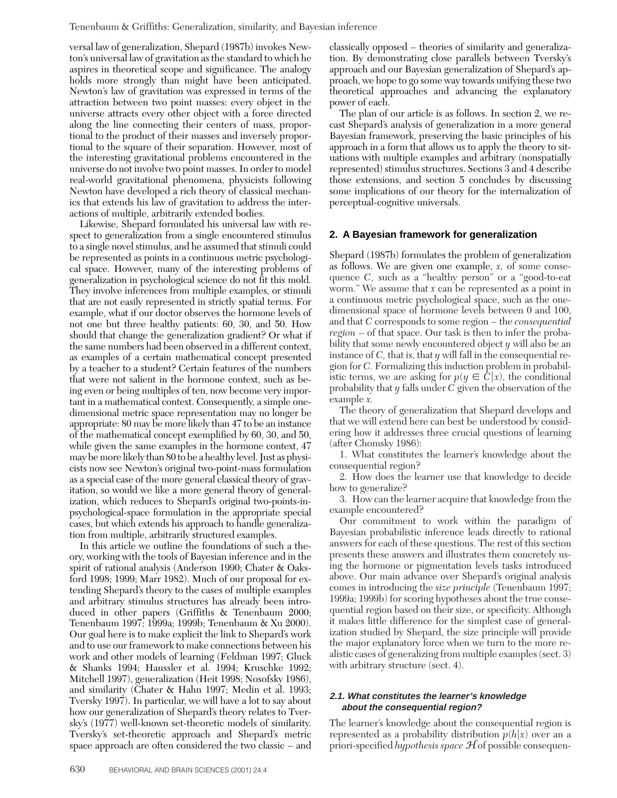versal law of generalization, Shepard (1987b) invokes Newton's universal law of gravitation as the standard to which he aspires in theoretical scope and significance. The analogy holds more strongly than might have been anticipated. Newton's law of gravitation was expressed in terms of the attraction between two point masses: every object in the universe attracts every other object with a force directed along the line connecting their centers of mass, proportional to the product of their masses and inversely proportional to the square of their separation. However, most of the interesting gravitational problems encountered in the universe do not involve two point masses. In order to model real-world gravitational phenomena, physicists following Newton have developed a rich theory of classical mechanics that extends his law of gravitation to address the interactions of multiple, arbitrarily extended bodies.

Likewise, Shepard formulated his universal law with respect to generalization from a single encountered stimulus to a single novel stimulus, and he assumed that stimuli could be represented as points in a continuous metric psychological space. However, many of the interesting problems of generalization in psychological science do not fit this mold. They involve inferences from multiple examples, or stimuli that are not easily represented in strictly spatial terms. For example, what if our doctor observes the hormone levels of not one but three healthy patients: 60, 30, and 50. How should that change the generalization gradient? Or what if the same numbers had been observed in a different context, as examples of a certain mathematical concept presented by a teacher to a student? Certain features of the numbers that were not salient in the hormone context, such as being even or being multiples of ten, now become very important in a mathematical context. Consequently, a simple onedimensional metric space representation may no longer be appropriate: 80 may be more likely than 47 to be an instance of the mathematical concept exemplified by 60, 30, and 50, while given the same examples in the hormone context, 47 may be more likely than 80 to be a healthy level. Just as physicists now see Newton's original two-point-mass formulation as a special case of the more general classical theory of gravitation, so would we like a more general theory of generalization, which reduces to Shepard's original two-points-inpsychological-space formulation in the appropriate special cases, but which extends his approach to handle generalization from multiple, arbitrarily structured examples.

In this article we outline the foundations of such a theory, working with the tools of Bayesian inference and in the spirit of rational analysis (Anderson 1990; Chater & Oaksford 1998; 1999; Marr 1982). Much of our proposal for extending Shepard's theory to the cases of multiple examples and arbitrary stimulus structures has already been introduced in other papers (Griffiths & Tenenbaum 2000; Tenenbaum 1997; 1999a; 1999b; Tenenbaum & Xu 2000). Our goal here is to make explicit the link to Shepard's work and to use our framework to make connections between his work and other models of learning (Feldman 1997; Gluck & Shanks 1994; Haussler et al. 1994; Kruschke 1992; Mitchell 1997), generalization (Heit 1998; Nosofsky 1986), and similarity (Chater & Hahn 1997; Medin et al. 1993; Tversky 1997). In particular, we will have a lot to say about how our generalization of Shepard's theory relates to Tversky's (1977) well-known set-theoretic models of similarity. Tversky's set-theoretic approach and Shepard's metric space approach are often considered the two classic – and classically opposed – theories of similarity and generalization. By demonstrating close parallels between Tversky's approach and our Bayesian generalization of Shepard's approach, we hope to go some way towards unifying these two theoretical approaches and advancing the explanatory power of each.

The plan of our article is as follows. In section 2, we recast Shepard's analysis of generalization in a more general Bayesian framework, preserving the basic principles of his approach in a form that allows us to apply the theory to situations with multiple examples and arbitrary (nonspatially represented) stimulus structures. Sections 3 and 4 describe those extensions, and section 5 concludes by discussing some implications of our theory for the internalization of perceptual-cognitive universals.

#### **2. A Bayesian framework for generalization**

Shepard (1987b) formulates the problem of generalization as follows. We are given one example, *x,* of some consequence *C*, such as a "healthy person" or a "good-to-eat worm." We assume that *x* can be represented as a point in a continuous metric psychological space, such as the onedimensional space of hormone levels between 0 and 100, and that *C* corresponds to some region – the *consequential region* – of that space. Our task is then to infer the probability that some newly encountered object  $y$  will also be an instance of *C,* that is, that *y* will fall in the consequential region for *C.* Formalizing this induction problem in probabilistic terms, we are asking for  $p(y \in C | x)$ , the conditional probability that *y* falls under *C* given the observation of the example *x.*

The theory of generalization that Shepard develops and that we will extend here can best be understood by considering how it addresses three crucial questions of learning (after Chomsky 1986):

1. What constitutes the learner's knowledge about the consequential region?

2. How does the learner use that knowledge to decide how to generalize?

3. How can the learner acquire that knowledge from the example encountered?

Our commitment to work within the paradigm of Bayesian probabilistic inference leads directly to rational answers for each of these questions. The rest of this section presents these answers and illustrates them concretely using the hormone or pigmentation levels tasks introduced above. Our main advance over Shepard's original analysis comes in introducing the *size principle* (Tenenbaum 1997; 1999a; 1999b) for scoring hypotheses about the true consequential region based on their size, or specificity. Although it makes little difference for the simplest case of generalization studied by Shepard, the size principle will provide the major explanatory force when we turn to the more realistic cases of generalizing from multiple examples (sect. 3) with arbitrary structure (sect. 4).

## **2.1. What constitutes the learner's knowledge about the consequential region?**

The learner's knowledge about the consequential region is represented as a probability distribution  $p(h|x)$  over an a priori-specified *hypothesis space* H of possible consequen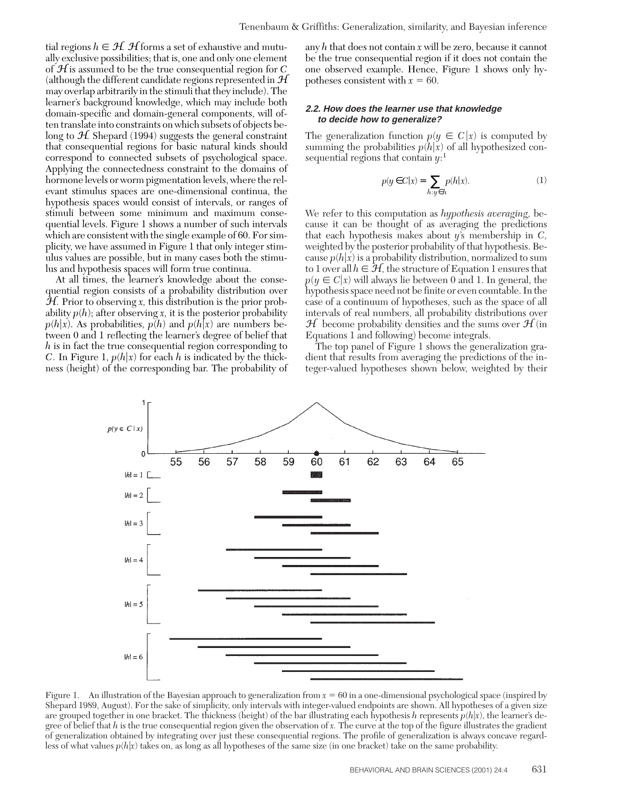tial regions  $h \in \mathcal{H}$ .  $\mathcal{H}$  forms a set of exhaustive and mutually exclusive possibilities; that is, one and only one element of H is assumed to be the true consequential region for *C* (although the different candidate regions represented in  $H$ may overlap arbitrarily in the stimuli that they include). The learner's background knowledge, which may include both domain-specific and domain-general components, will often translate into constraints on which subsets of objects belong to H. Shepard (1994) suggests the general constraint that consequential regions for basic natural kinds should correspond to connected subsets of psychological space. Applying the connectedness constraint to the domains of hormone levels or worm pigmentation levels, where the relevant stimulus spaces are one-dimensional continua, the hypothesis spaces would consist of intervals, or ranges of stimuli between some minimum and maximum consequential levels. Figure 1 shows a number of such intervals which are consistent with the single example of 60. For simplicity, we have assumed in Figure 1 that only integer stimulus values are possible, but in many cases both the stimulus and hypothesis spaces will form true continua.

At all times, the learner's knowledge about the consequential region consists of a probability distribution over  $\hat{\mathcal{H}}$ . Prior to observing *x*, this distribution is the prior probability  $p(h)$ ; after observing x, it is the posterior probability  $p(h|x)$ . As probabilities,  $p(h)$  and  $p(h|x)$  are numbers between 0 and 1 reflecting the learner's degree of belief that *h* is in fact the true consequential region corresponding to *C.* In Figure 1,  $p(h|x)$  for each *h* is indicated by the thickness (height) of the corresponding bar. The probability of

any *h* that does not contain *x* will be zero, because it cannot be the true consequential region if it does not contain the one observed example. Hence, Figure 1 shows only hypotheses consistent with  $x = 60$ .

### **2.2. How does the learner use that knowledge to decide how to generalize?**

The generalization function  $p(y \in C|x)$  is computed by summing the probabilities  $p(h|x)$  of all hypothesized consequential regions that contain *y*: 1

$$
p(y \in C | x) = \sum_{h:y \in h} p(h | x).
$$
 (1)

We refer to this computation as *hypothesis averaging,* because it can be thought of as averaging the predictions that each hypothesis makes about *y*'s membership in *C,* weighted by the posterior probability of that hypothesis. Because  $p(h|x)$  is a probability distribution, normalized to sum to 1 over all  $h \in H$ , the structure of Equation 1 ensures that  $p(y \in C | x)$  will always lie between 0 and 1. In general, the hypothesis space need not be finite or even countable. In the case of a continuum of hypotheses, such as the space of all intervals of real numbers, all probability distributions over  $\mathcal H$  become probability densities and the sums over  $\mathcal H$  (in Equations 1 and following) become integrals.

The top panel of Figure 1 shows the generalization gradient that results from averaging the predictions of the integer-valued hypotheses shown below, weighted by their



Figure 1. An illustration of the Bayesian approach to generalization from  $x = 60$  in a one-dimensional psychological space (inspired by Shepard 1989, August). For the sake of simplicity, only intervals with integer-valued endpoints are shown. All hypotheses of a given size are grouped together in one bracket. The thickness (height) of the bar illustrating each hypothesis *h* represents  $p(h|x)$ , the learner's degree of belief that *h* is the true consequential region given the observation of *x.* The curve at the top of the figure illustrates the gradient of generalization obtained by integrating over just these consequential regions. The profile of generalization is always concave regardless of what values  $p(h|x)$  takes on, as long as all hypotheses of the same size (in one bracket) take on the same probability.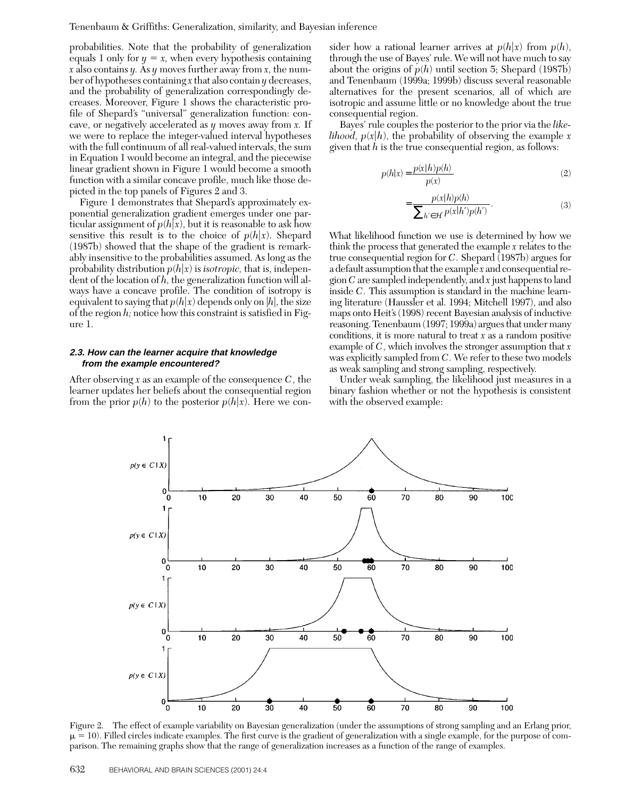probabilities. Note that the probability of generalization equals 1 only for  $y = x$ , when every hypothesis containing *x* also contains *y.* As *y* moves further away from *x,* the number of hypotheses containing *x* that also contain *y* decreases, and the probability of generalization correspondingly decreases. Moreover, Figure 1 shows the characteristic profile of Shepard's "universal" generalization function: concave, or negatively accelerated as *y* moves away from *x.* If we were to replace the integer-valued interval hypotheses with the full continuum of all real-valued intervals, the sum in Equation 1 would become an integral, and the piecewise linear gradient shown in Figure 1 would become a smooth function with a similar concave profile, much like those depicted in the top panels of Figures 2 and 3.

Figure 1 demonstrates that Shepard's approximately exponential generalization gradient emerges under one particular assignment of  $p(h|x)$ , but it is reasonable to ask how sensitive this result is to the choice of  $p(h|x)$ . Shepard (1987b) showed that the shape of the gradient is remarkably insensitive to the probabilities assumed. As long as the probability distribution  $p(h|x)$  is *isotropic*, that is, independent of the location of *h,* the generalization function will always have a concave profile. The condition of isotropy is equivalent to saying that  $p(h|x)$  depends only on  $|h|$ , the size of the region *h;* notice how this constraint is satisfied in Figure 1.

#### **2.3. How can the learner acquire that knowledge from the example encountered?**

After observing *x* as an example of the consequence *C,* the learner updates her beliefs about the consequential region from the prior  $p(h)$  to the posterior  $p(h|x)$ . Here we consider how a rational learner arrives at  $p(h|x)$  from  $p(h)$ , through the use of Bayes' rule. We will not have much to say about the origins of  $p(h)$  until section 5; Shepard (1987b) and Tenenbaum (1999a; 1999b) discuss several reasonable alternatives for the present scenarios, all of which are isotropic and assume little or no knowledge about the true consequential region.

Bayes' rule couples the posterior to the prior via the *likelihood,*  $p(x|h)$ *, the probability of observing the example x* given that *h* is the true consequential region, as follows:

$$
p(h|x) = \frac{p(x|h)p(h)}{p(x)}
$$
\n(2)

$$
=\frac{p(x|h)p(h)}{\sum_{h'\in\mathcal{H}}p(x|h')p(h')}.\tag{3}
$$

What likelihood function we use is determined by how we think the process that generated the example *x* relates to the true consequential region for *C.* Shepard (1987b) argues for a default assumption that the example *x* and consequential region *C* are sampled independently, and *x* just happens to land inside *C.* This assumption is standard in the machine learning literature (Haussler et al. 1994; Mitchell 1997), and also maps onto Heit's (1998) recent Bayesian analysis of inductive reasoning. Tenenbaum (1997; 1999a) argues that under many conditions, it is more natural to treat *x* as a random positive example of *C,* which involves the stronger assumption that *x* was explicitly sampled from *C.* We refer to these two models as weak sampling and strong sampling, respectively.

Under weak sampling, the likelihood just measures in a binary fashion whether or not the hypothesis is consistent with the observed example:



Figure 2. The effect of example variability on Bayesian generalization (under the assumptions of strong sampling and an Erlang prior,  $\mu$  = 10). Filled circles indicate examples. The first curve is the gradient of generalization with a single example, for the purpose of comparison. The remaining graphs show that the range of generalization increases as a function of the range of examples.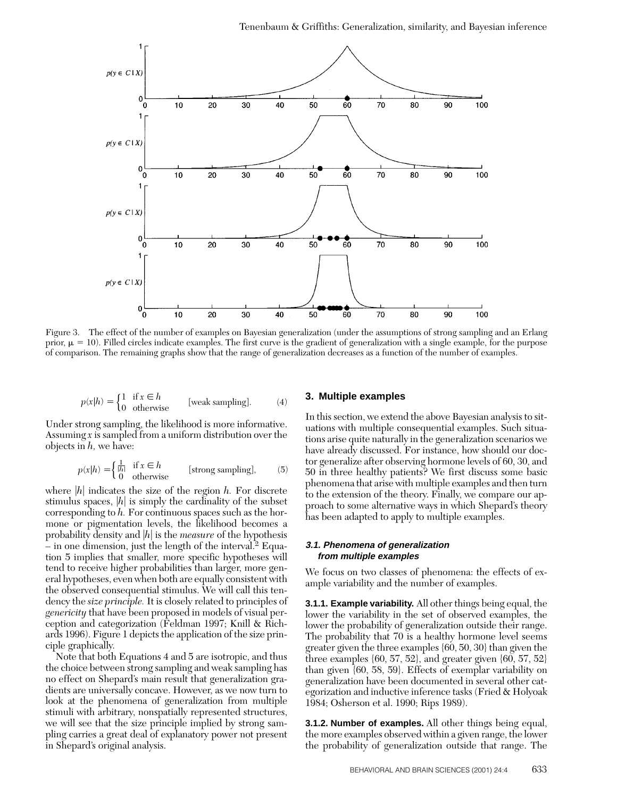

Figure 3. The effect of the number of examples on Bayesian generalization (under the assumptions of strong sampling and an Erlang prior,  $\mu = 10$ ). Filled circles indicate examples. The first curve is the gradient of generalization with a single example, for the purpose of comparison. The remaining graphs show that the range of generalization decreases as a function of the number of examples.

$$
p(x|h) = \begin{cases} 1 & \text{if } x \in h \\ 0 & \text{otherwise} \end{cases} \qquad \text{[weak sampling]}.
$$
 (4)

Under strong sampling, the likelihood is more informative. Assuming *x* is sampled from a uniform distribution over the objects in *h,* we have:

$$
p(x|h) = \begin{cases} \frac{1}{|h|} & \text{if } x \in h \\ 0 & \text{otherwise} \end{cases} \qquad \text{[strong sampling]}, \qquad (5)
$$

where  $|h|$  indicates the size of the region  $h$ . For discrete stimulus spaces,  $|h|$  is simply the cardinality of the subset corresponding to *h.* For continuous spaces such as the hormone or pigmentation levels, the likelihood becomes a probability density and  $|h|$  is the *measure* of the hypothesis – in one dimension, just the length of the interval.2 Equation 5 implies that smaller, more specific hypotheses will tend to receive higher probabilities than larger, more general hypotheses, even when both are equally consistent with the observed consequential stimulus. We will call this tendency the *size principle.* It is closely related to principles of *genericity* that have been proposed in models of visual perception and categorization (Feldman 1997; Knill & Richards 1996). Figure 1 depicts the application of the size principle graphically.

Note that both Equations 4 and 5 are isotropic, and thus the choice between strong sampling and weak sampling has no effect on Shepard's main result that generalization gradients are universally concave. However, as we now turn to look at the phenomena of generalization from multiple stimuli with arbitrary, nonspatially represented structures, we will see that the size principle implied by strong sampling carries a great deal of explanatory power not present in Shepard's original analysis.

#### **3. Multiple examples**

In this section, we extend the above Bayesian analysis to situations with multiple consequential examples. Such situations arise quite naturally in the generalization scenarios we have already discussed. For instance, how should our doctor generalize after observing hormone levels of 60, 30, and 50 in three healthy patients? We first discuss some basic phenomena that arise with multiple examples and then turn to the extension of the theory. Finally, we compare our approach to some alternative ways in which Shepard's theory has been adapted to apply to multiple examples.

#### **3.1. Phenomena of generalization from multiple examples**

We focus on two classes of phenomena: the effects of example variability and the number of examples.

**3.1.1. Example variability.** All other things being equal, the lower the variability in the set of observed examples, the lower the probability of generalization outside their range. The probability that 70 is a healthy hormone level seems greater given the three examples {60, 50, 30} than given the three examples  $\{60, 57, 52\}$ , and greater given  $\{60, 57, 52\}$ than given {60, 58, 59}. Effects of exemplar variability on generalization have been documented in several other categorization and inductive inference tasks (Fried & Holyoak 1984; Osherson et al. 1990; Rips 1989).

**3.1.2. Number of examples.** All other things being equal, the more examples observed within a given range, the lower the probability of generalization outside that range. The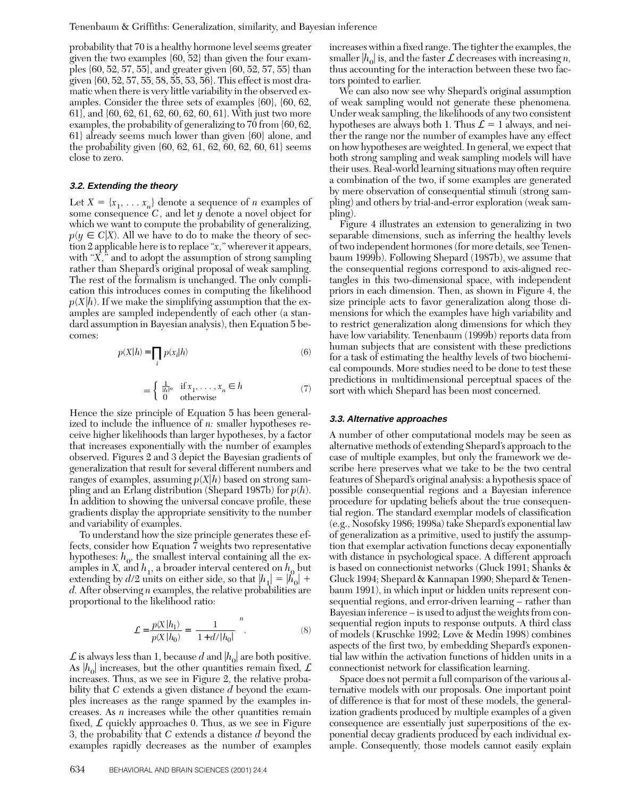probability that 70 is a healthy hormone level seems greater given the two examples {60, 52} than given the four examples {60, 52, 57, 55}, and greater given {60, 52, 57, 55} than given {60, 52, 57, 55, 58, 55, 53, 56}. This effect is most dramatic when there is very little variability in the observed examples. Consider the three sets of examples {60}, {60, 62, 61}, and {60, 62, 61, 62, 60, 62, 60, 61}. With just two more examples, the probability of generalizing to 70 from {60, 62, 61} already seems much lower than given {60} alone, and the probability given {60, 62, 61, 62, 60, 62, 60, 61} seems close to zero.

#### **3.2. Extending the theory**

Let  $X = \{x_1, \ldots, x_n\}$  denote a sequence of *n* examples of some consequence *C,* and let *y* denote a novel object for which we want to compute the probability of generalizing,  $p(y \in C|X)$ . All we have to do to make the theory of section 2 applicable here is to replace "*x,*" wherever it appears, with "*X,*" and to adopt the assumption of strong sampling rather than Shepard's original proposal of weak sampling. The rest of the formalism is unchanged. The only complication this introduces comes in computing the likelihood  $p(X|h)$ . If we make the simplifying assumption that the examples are sampled independently of each other (a standard assumption in Bayesian analysis), then Equation 5 becomes:

$$
p(X|h) = \prod_{i} p(x_i|h) \tag{6}
$$

$$
= \begin{cases} \frac{1}{|h|^n} & \text{if } x_1, \dots, x_n \in h \\ 0 & \text{otherwise} \end{cases} \tag{7}
$$

Hence the size principle of Equation 5 has been generalized to include the influence of *n:* smaller hypotheses receive higher likelihoods than larger hypotheses, by a factor that increases exponentially with the number of examples observed. Figures 2 and 3 depict the Bayesian gradients of generalization that result for several different numbers and ranges of examples, assuming  $p(X|h)$  based on strong sampling and an Erlang distribution (Shepard 1987b) for *p*(*h*). In addition to showing the universal concave profile, these gradients display the appropriate sensitivity to the number and variability of examples.

To understand how the size principle generates these effects, consider how Equation 7 weights two representative hypotheses:  $h_0$ , the smallest interval containing all the examples in *X*, and  $h_1$ , a broader interval centered on  $h_0$  but extending by  $d/2$  units on either side, so that  $|h_1| = |h_0| +$ *d.* After observing *n* examples, the relative probabilities are proportional to the likelihood ratio:

$$
\mathcal{L} = \frac{p(X|h_1)}{p(X|h_0)} = \left[\frac{1}{1 + d/|h_0|}\right]^n.
$$
 (8)

 $\mathcal{L}$  is always less than 1, because *d* and  $|h_0|$  are both positive. As  $|h_0|$  increases, but the other quantities remain fixed, L increases. Thus, as we see in Figure 2, the relative probability that *C* extends a given distance *d* beyond the examples increases as the range spanned by the examples increases. As *n* increases while the other quantities remain fixed,  $\mathcal L$  quickly approaches 0. Thus, as we see in Figure 3, the probability that *C* extends a distance *d* beyond the examples rapidly decreases as the number of examples

We can also now see why Shepard's original assumption of weak sampling would not generate these phenomena. Under weak sampling, the likelihoods of any two consistent hypotheses are always both 1. Thus  $\mathcal{L} = 1$  always, and neither the range nor the number of examples have any effect on how hypotheses are weighted. In general, we expect that both strong sampling and weak sampling models will have their uses. Real-world learning situations may often require a combination of the two, if some examples are generated by mere observation of consequential stimuli (strong sampling) and others by trial-and-error exploration (weak sampling).

Figure 4 illustrates an extension to generalizing in two separable dimensions, such as inferring the healthy levels of two independent hormones (for more details, see Tenenbaum 1999b). Following Shepard (1987b), we assume that the consequential regions correspond to axis-aligned rectangles in this two-dimensional space, with independent priors in each dimension. Then, as shown in Figure 4, the size principle acts to favor generalization along those dimensions for which the examples have high variability and to restrict generalization along dimensions for which they have low variability. Tenenbaum (1999b) reports data from human subjects that are consistent with these predictions for a task of estimating the healthy levels of two biochemical compounds. More studies need to be done to test these predictions in multidimensional perceptual spaces of the sort with which Shepard has been most concerned.

#### **3.3. Alternative approaches**

A number of other computational models may be seen as alternative methods of extending Shepard's approach to the case of multiple examples, but only the framework we describe here preserves what we take to be the two central features of Shepard's original analysis: a hypothesis space of possible consequential regions and a Bayesian inference procedure for updating beliefs about the true consequential region. The standard exemplar models of classification (e.g., Nosofsky 1986; 1998a) take Shepard's exponential law of generalization as a primitive, used to justify the assumption that exemplar activation functions decay exponentially with distance in psychological space. A different approach is based on connectionist networks (Gluck 1991; Shanks & Gluck 1994; Shepard & Kannapan 1990; Shepard & Tenenbaum 1991), in which input or hidden units represent consequential regions, and error-driven learning – rather than Bayesian inference – is used to adjust the weights from consequential region inputs to response outputs. A third class of models (Kruschke 1992; Love & Medin 1998) combines aspects of the first two, by embedding Shepard's exponential law within the activation functions of hidden units in a connectionist network for classification learning.

Space does not permit a full comparison of the various alternative models with our proposals. One important point of difference is that for most of these models, the generalization gradients produced by multiple examples of a given consequence are essentially just superpositions of the exponential decay gradients produced by each individual example. Consequently, those models cannot easily explain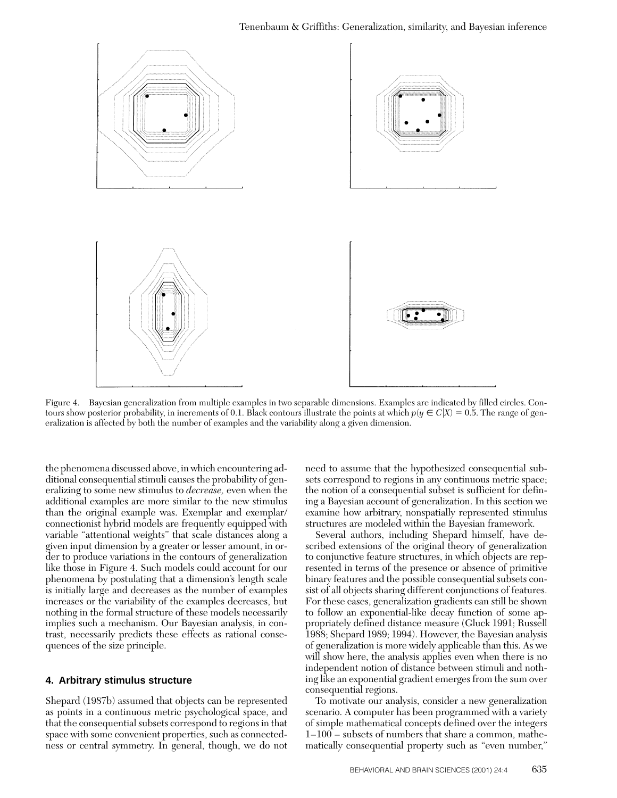

Figure 4. Bayesian generalization from multiple examples in two separable dimensions. Examples are indicated by filled circles. Contours show posterior probability, in increments of 0.1. Black contours illustrate the points at which  $p(y \in C|X) = 0.5$ . The range of generalization is affected by both the number of examples and the variability along a given dimension.

the phenomena discussed above, in which encountering additional consequential stimuli causes the probability of generalizing to some new stimulus to *decrease,* even when the additional examples are more similar to the new stimulus than the original example was. Exemplar and exemplar/ connectionist hybrid models are frequently equipped with variable "attentional weights" that scale distances along a given input dimension by a greater or lesser amount, in order to produce variations in the contours of generalization like those in Figure 4. Such models could account for our phenomena by postulating that a dimension's length scale is initially large and decreases as the number of examples increases or the variability of the examples decreases, but nothing in the formal structure of these models necessarily implies such a mechanism. Our Bayesian analysis, in contrast, necessarily predicts these effects as rational consequences of the size principle.

## **4. Arbitrary stimulus structure**

Shepard (1987b) assumed that objects can be represented as points in a continuous metric psychological space, and that the consequential subsets correspond to regions in that space with some convenient properties, such as connectedness or central symmetry. In general, though, we do not

need to assume that the hypothesized consequential subsets correspond to regions in any continuous metric space; the notion of a consequential subset is sufficient for defining a Bayesian account of generalization. In this section we examine how arbitrary, nonspatially represented stimulus structures are modeled within the Bayesian framework.

Several authors, including Shepard himself, have described extensions of the original theory of generalization to conjunctive feature structures, in which objects are represented in terms of the presence or absence of primitive binary features and the possible consequential subsets consist of all objects sharing different conjunctions of features. For these cases, generalization gradients can still be shown to follow an exponential-like decay function of some appropriately defined distance measure (Gluck 1991; Russell 1988; Shepard 1989; 1994). However, the Bayesian analysis of generalization is more widely applicable than this. As we will show here, the analysis applies even when there is no independent notion of distance between stimuli and nothing like an exponential gradient emerges from the sum over consequential regions.

To motivate our analysis, consider a new generalization scenario. A computer has been programmed with a variety of simple mathematical concepts defined over the integers 1–100 – subsets of numbers that share a common, mathematically consequential property such as "even number,"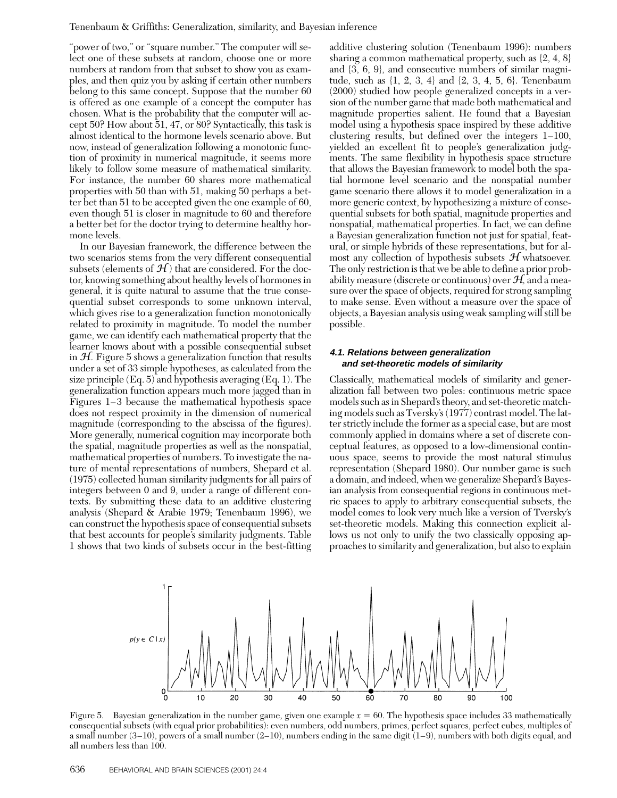"power of two," or "square number." The computer will select one of these subsets at random, choose one or more numbers at random from that subset to show you as examples, and then quiz you by asking if certain other numbers belong to this same concept. Suppose that the number 60 is offered as one example of a concept the computer has chosen. What is the probability that the computer will accept 50? How about 51, 47, or 80? Syntactically, this task is almost identical to the hormone levels scenario above. But now, instead of generalization following a monotonic function of proximity in numerical magnitude, it seems more likely to follow some measure of mathematical similarity. For instance, the number 60 shares more mathematical properties with 50 than with 51, making 50 perhaps a better bet than 51 to be accepted given the one example of 60, even though 51 is closer in magnitude to 60 and therefore a better bet for the doctor trying to determine healthy hormone levels.

In our Bayesian framework, the difference between the two scenarios stems from the very different consequential subsets (elements of  $\mathcal{H}$ ) that are considered. For the doctor, knowing something about healthy levels of hormones in general, it is quite natural to assume that the true consequential subset corresponds to some unknown interval, which gives rise to a generalization function monotonically related to proximity in magnitude. To model the number game, we can identify each mathematical property that the learner knows about with a possible consequential subset in  $H$ . Figure 5 shows a generalization function that results under a set of 33 simple hypotheses, as calculated from the size principle (Eq. 5) and hypothesis averaging (Eq. 1). The generalization function appears much more jagged than in Figures 1–3 because the mathematical hypothesis space does not respect proximity in the dimension of numerical magnitude (corresponding to the abscissa of the figures). More generally, numerical cognition may incorporate both the spatial, magnitude properties as well as the nonspatial, mathematical properties of numbers. To investigate the nature of mental representations of numbers, Shepard et al. (1975) collected human similarity judgments for all pairs of integers between 0 and 9, under a range of different contexts. By submitting these data to an additive clustering analysis (Shepard & Arabie 1979; Tenenbaum 1996), we can construct the hypothesis space of consequential subsets that best accounts for people's similarity judgments. Table 1 shows that two kinds of subsets occur in the best-fitting

additive clustering solution (Tenenbaum 1996): numbers sharing a common mathematical property, such as {2, 4, 8} and {3, 6, 9}, and consecutive numbers of similar magnitude, such as {1, 2, 3, 4} and {2, 3, 4, 5, 6}. Tenenbaum (2000) studied how people generalized concepts in a version of the number game that made both mathematical and magnitude properties salient. He found that a Bayesian model using a hypothesis space inspired by these additive clustering results, but defined over the integers 1–100, yielded an excellent fit to people's generalization judgments. The same flexibility in hypothesis space structure that allows the Bayesian framework to model both the spatial hormone level scenario and the nonspatial number game scenario there allows it to model generalization in a more generic context, by hypothesizing a mixture of consequential subsets for both spatial, magnitude properties and nonspatial, mathematical properties. In fact, we can define a Bayesian generalization function not just for spatial, featural, or simple hybrids of these representations, but for almost any collection of hypothesis subsets  $\mathcal{H}$  whatsoever. The only restriction is that we be able to define a prior probability measure (discrete or continuous) over H*,* and a measure over the space of objects, required for strong sampling to make sense. Even without a measure over the space of objects, a Bayesian analysis using weak sampling will still be possible.

### **4.1. Relations between generalization and set-theoretic models of similarity**

Classically, mathematical models of similarity and generalization fall between two poles: continuous metric space models such as in Shepard's theory, and set-theoretic matching models such as Tversky's (1977) contrast model. The latter strictly include the former as a special case, but are most commonly applied in domains where a set of discrete conceptual features, as opposed to a low-dimensional continuous space, seems to provide the most natural stimulus representation (Shepard 1980). Our number game is such a domain, and indeed, when we generalize Shepard's Bayesian analysis from consequential regions in continuous metric spaces to apply to arbitrary consequential subsets, the model comes to look very much like a version of Tversky's set-theoretic models. Making this connection explicit allows us not only to unify the two classically opposing approaches to similarity and generalization, but also to explain



Figure 5. Bayesian generalization in the number game, given one example  $x = 60$ . The hypothesis space includes 33 mathematically consequential subsets (with equal prior probabilities): even numbers, odd numbers, primes, perfect squares, perfect cubes, multiples of a small number  $(3-10)$ , powers of a small number  $(2-10)$ , numbers ending in the same digit  $(1-9)$ , numbers with both digits equal, and all numbers less than 100.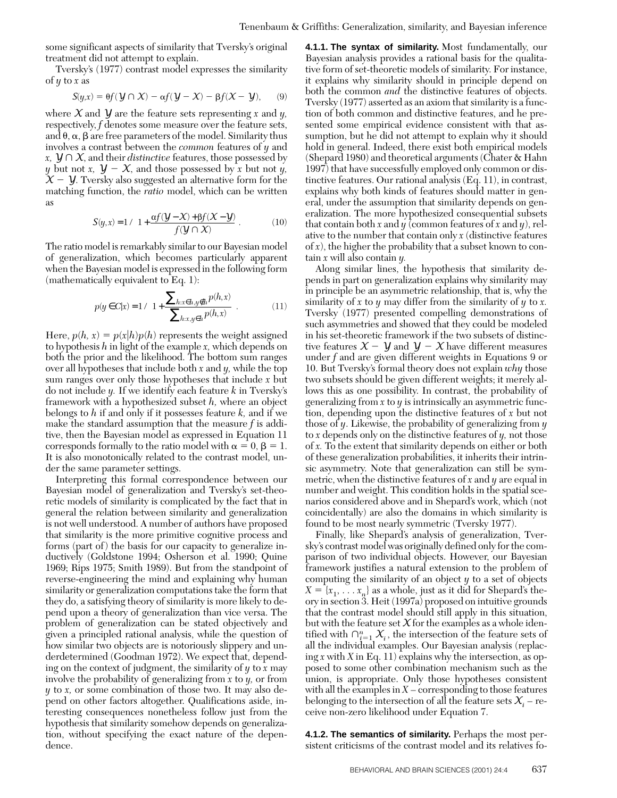some significant aspects of similarity that Tversky's original treatment did not attempt to explain.

Tversky's (1977) contrast model expresses the similarity of *y* to *x* as

$$
S(y,x) = \theta f(\mathbf{Y} \cap \mathbf{X}) - \alpha f(\mathbf{Y} - \mathbf{X}) - \beta f(\mathbf{X} - \mathbf{Y}), \qquad (9)
$$

where  $X$  and  $Y$  are the feature sets representing x and  $y$ , respectively, *f* denotes some measure over the feature sets, and  $\theta$ ,  $\alpha$ ,  $\beta$  are free parameters of the model. Similarity thus involves a contrast between the *common* features of *y* and  $x, y \cap X$ , and their *distinctive* features, those possessed by *y* but not *x*,  $\mathbf{y} - \mathbf{X}$ , and those possessed by *x* but not *y*,  $X - Y$ . Tversky also suggested an alternative form for the matching function, the *ratio* model, which can be written as

$$
S(y, x) = 1 / \left[ 1 + \frac{\alpha f(y - \chi) + \beta f(\chi - y)}{f(y \cap \chi)} \right].
$$
 (10)

The ratio model is remarkably similar to our Bayesian model of generalization, which becomes particularly apparent when the Bayesian model is expressed in the following form (mathematically equivalent to Eq. 1):

$$
p(y \in C | x) = 1 / \left[ 1 + \frac{\sum_{h:x \in h, y \notin h} p(h,x)}{\sum_{h:x, y \in h} p(h,x)} \right].
$$
 (11)

Here,  $p(h, x) = p(x|h)p(h)$  represents the weight assigned to hypothesis *h* in light of the example *x,* which depends on both the prior and the likelihood. The bottom sum ranges over all hypotheses that include both *x* and *y,* while the top sum ranges over only those hypotheses that include *x* but do not include *y.* If we identify each feature *k* in Tversky's framework with a hypothesized subset *h,* where an object belongs to *h* if and only if it possesses feature *k,* and if we make the standard assumption that the measure *f* is additive, then the Bayesian model as expressed in Equation 11 corresponds formally to the ratio model with  $\alpha = 0, \beta = 1$ . It is also monotonically related to the contrast model, under the same parameter settings.

Interpreting this formal correspondence between our Bayesian model of generalization and Tversky's set-theoretic models of similarity is complicated by the fact that in general the relation between similarity and generalization is not well understood. A number of authors have proposed that similarity is the more primitive cognitive process and forms (part of) the basis for our capacity to generalize inductively (Goldstone 1994; Osherson et al. 1990; Quine 1969; Rips 1975; Smith 1989). But from the standpoint of reverse-engineering the mind and explaining why human similarity or generalization computations take the form that they do, a satisfying theory of similarity is more likely to depend upon a theory of generalization than vice versa. The problem of generalization can be stated objectively and given a principled rational analysis, while the question of how similar two objects are is notoriously slippery and underdetermined (Goodman 1972). We expect that, depending on the context of judgment, the similarity of *y* to *x* may involve the probability of generalizing from *x* to *y,* or from *y* to *x,* or some combination of those two. It may also depend on other factors altogether. Qualifications aside, interesting consequences nonetheless follow just from the hypothesis that similarity somehow depends on generalization, without specifying the exact nature of the dependence.

**4.1.1. The syntax of similarity.** Most fundamentally, our Bayesian analysis provides a rational basis for the qualitative form of set-theoretic models of similarity. For instance, it explains why similarity should in principle depend on both the common *and* the distinctive features of objects. Tversky (1977) asserted as an axiom that similarity is a function of both common and distinctive features, and he presented some empirical evidence consistent with that assumption, but he did not attempt to explain why it should hold in general. Indeed, there exist both empirical models (Shepard 1980) and theoretical arguments (Chater & Hahn 1997) that have successfully employed only common or distinctive features. Our rational analysis (Eq. 11), in contrast, explains why both kinds of features should matter in general, under the assumption that similarity depends on generalization. The more hypothesized consequential subsets that contain both *x* and *y* (common features of *x* and *y*), relative to the number that contain only *x* (distinctive features of *x*), the higher the probability that a subset known to contain *x* will also contain *y.*

Along similar lines, the hypothesis that similarity depends in part on generalization explains why similarity may in principle be an asymmetric relationship, that is, why the similarity of *x* to *y* may differ from the similarity of *y* to *x.* Tversky (1977) presented compelling demonstrations of such asymmetries and showed that they could be modeled in his set-theoretic framework if the two subsets of distinctive features  $X - Y$  and  $Y - X$  have different measures under *f* and are given different weights in Equations 9 or 10. But Tversky's formal theory does not explain *why* those two subsets should be given different weights; it merely allows this as one possibility. In contrast, the probability of generalizing from *x* to *y* is intrinsically an asymmetric function, depending upon the distinctive features of *x* but not those of *y*. Likewise, the probability of generalizing from *y* to *x* depends only on the distinctive features of *y,* not those of *x.* To the extent that similarity depends on either or both of these generalization probabilities, it inherits their intrinsic asymmetry. Note that generalization can still be symmetric, when the distinctive features of *x* and *y* are equal in number and weight. This condition holds in the spatial scenarios considered above and in Shepard's work, which (not coincidentally) are also the domains in which similarity is found to be most nearly symmetric (Tversky 1977).

Finally, like Shepard's analysis of generalization, Tversky's contrast model was originally defined only for the comparison of two individual objects. However, our Bayesian framework justifies a natural extension to the problem of computing the similarity of an object *y* to a set of objects  $X = \{x_1, \ldots, x_n\}$  as a whole, just as it did for Shepard's theory in section 3. Heit (1997a) proposed on intuitive grounds that the contrast model should still apply in this situation, but with the feature set  $X$  for the examples as a whole identified with  $\bigcap_{i=1}^n X_i$ , the intersection of the feature sets of all the individual examples. Our Bayesian analysis (replacing *x* with *X* in Eq. 11) explains why the intersection, as opposed to some other combination mechanism such as the union, is appropriate. Only those hypotheses consistent with all the examples in  $X$  – corresponding to those features belonging to the intersection of all the feature sets  $X_i$  – receive non-zero likelihood under Equation 7.

**4.1.2. The semantics of similarity.** Perhaps the most persistent criticisms of the contrast model and its relatives fo-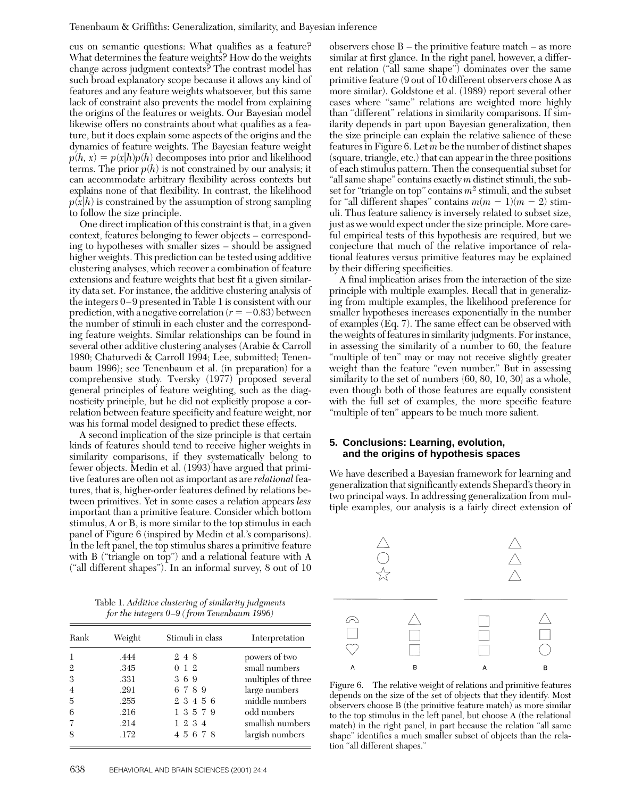cus on semantic questions: What qualifies as a feature? What determines the feature weights? How do the weights change across judgment contexts? The contrast model has such broad explanatory scope because it allows any kind of features and any feature weights whatsoever, but this same lack of constraint also prevents the model from explaining the origins of the features or weights. Our Bayesian model likewise offers no constraints about what qualifies as a feature, but it does explain some aspects of the origins and the dynamics of feature weights. The Bayesian feature weight  $p(h, x) = p(x|h)p(h)$  decomposes into prior and likelihood terms. The prior  $p(h)$  is not constrained by our analysis; it can accommodate arbitrary flexibility across contexts but explains none of that flexibility. In contrast, the likelihood  $p(x|h)$  is constrained by the assumption of strong sampling to follow the size principle.

One direct implication of this constraint is that, in a given context, features belonging to fewer objects – corresponding to hypotheses with smaller sizes – should be assigned higher weights. This prediction can be tested using additive clustering analyses, which recover a combination of feature extensions and feature weights that best fit a given similarity data set. For instance, the additive clustering analysis of the integers 0–9 presented in Table 1 is consistent with our prediction, with a negative correlation  $(r = -0.83)$  between the number of stimuli in each cluster and the corresponding feature weights. Similar relationships can be found in several other additive clustering analyses (Arabie & Carroll 1980; Chaturvedi & Carroll 1994; Lee, submitted; Tenenbaum 1996); see Tenenbaum et al. (in preparation) for a comprehensive study. Tversky (1977) proposed several general principles of feature weighting, such as the diagnosticity principle, but he did not explicitly propose a correlation between feature specificity and feature weight, nor was his formal model designed to predict these effects.

A second implication of the size principle is that certain kinds of features should tend to receive higher weights in similarity comparisons, if they systematically belong to fewer objects. Medin et al. (1993) have argued that primitive features are often not as important as are *relational* features, that is, higher-order features defined by relations between primitives. Yet in some cases a relation appears *less* important than a primitive feature. Consider which bottom stimulus, A or B, is more similar to the top stimulus in each panel of Figure 6 (inspired by Medin et al.'s comparisons). In the left panel, the top stimulus shares a primitive feature with B ("triangle on top") and a relational feature with A ("all different shapes"). In an informal survey, 8 out of 10

Table 1. *Additive clustering of similarity judgments for the integers 0–9 ( from Tenenbaum 1996)*

| <b>Rank</b>    | Weight | Stimuli in class | Interpretation     |
|----------------|--------|------------------|--------------------|
| 1              | .444   | 248              | powers of two      |
| $\overline{2}$ | .345   | 012              | small numbers      |
| 3              | .331   | 369              | multiples of three |
| $\overline{4}$ | .291   | 6789             | large numbers      |
| $\overline{5}$ | .255   | 2 3 4 5 6        | middle numbers     |
| 6              | .216   | 1 3 5 7 9        | odd numbers        |
|                | .214   | 1234             | smallish numbers   |
| 8              | .172   | 45678            | largish numbers    |

observers chose B – the primitive feature match – as more similar at first glance. In the right panel, however, a different relation ("all same shape") dominates over the same primitive feature (9 out of 10 different observers chose A as more similar). Goldstone et al. (1989) report several other cases where "same" relations are weighted more highly than "different" relations in similarity comparisons. If similarity depends in part upon Bayesian generalization, then the size principle can explain the relative salience of these features in Figure 6. Let *m* be the number of distinct shapes (square, triangle, etc.) that can appear in the three positions of each stimulus pattern. Then the consequential subset for "all same shape" contains exactly *m* distinct stimuli, the subset for "triangle on top" contains *m*<sup>2</sup> stimuli, and the subset for "all different shapes" contains  $m(m - 1)(m - 2)$  stimuli. Thus feature saliency is inversely related to subset size, just as we would expect under the size principle. More careful empirical tests of this hypothesis are required, but we conjecture that much of the relative importance of relational features versus primitive features may be explained by their differing specificities.

A final implication arises from the interaction of the size principle with multiple examples. Recall that in generalizing from multiple examples, the likelihood preference for smaller hypotheses increases exponentially in the number of examples (Eq. 7). The same effect can be observed with the weights of features in similarity judgments. For instance, in assessing the similarity of a number to 60, the feature "multiple of ten" may or may not receive slightly greater weight than the feature "even number." But in assessing similarity to the set of numbers {60, 80, 10, 30} as a whole, even though both of those features are equally consistent with the full set of examples, the more specific feature "multiple of ten" appears to be much more salient.

## **5. Conclusions: Learning, evolution, and the origins of hypothesis spaces**

We have described a Bayesian framework for learning and generalization that significantly extends Shepard's theory in two principal ways. In addressing generalization from multiple examples, our analysis is a fairly direct extension of



Figure 6. The relative weight of relations and primitive features depends on the size of the set of objects that they identify. Most observers choose B (the primitive feature match) as more similar to the top stimulus in the left panel, but choose A (the relational match) in the right panel, in part because the relation "all same shape" identifies a much smaller subset of objects than the relation "all different shapes."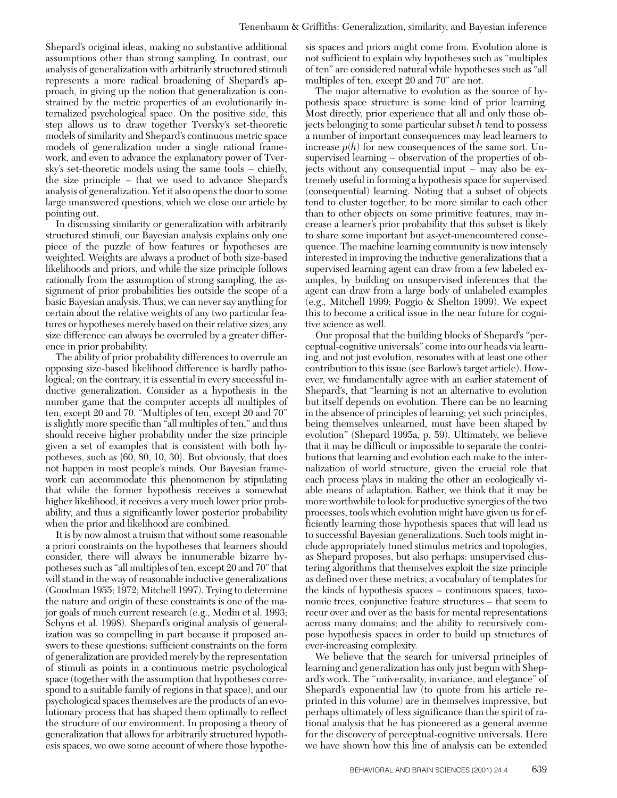Shepard's original ideas, making no substantive additional assumptions other than strong sampling. In contrast, our analysis of generalization with arbitrarily structured stimuli represents a more radical broadening of Shepard's approach, in giving up the notion that generalization is constrained by the metric properties of an evolutionarily internalized psychological space. On the positive side, this step allows us to draw together Tversky's set-theoretic models of similarity and Shepard's continuous metric space models of generalization under a single rational framework, and even to advance the explanatory power of Tversky's set-theoretic models using the same tools – chiefly, the size principle – that we used to advance Shepard's analysis of generalization. Yet it also opens the door to some large unanswered questions, which we close our article by pointing out.

In discussing similarity or generalization with arbitrarily structured stimuli, our Bayesian analysis explains only one piece of the puzzle of how features or hypotheses are weighted. Weights are always a product of both size-based likelihoods and priors, and while the size principle follows rationally from the assumption of strong sampling, the assignment of prior probabilities lies outside the scope of a basic Bayesian analysis. Thus, we can never say anything for certain about the relative weights of any two particular features or hypotheses merely based on their relative sizes; any size difference can always be overruled by a greater difference in prior probability.

The ability of prior probability differences to overrule an opposing size-based likelihood difference is hardly pathological; on the contrary, it is essential in every successful inductive generalization. Consider as a hypothesis in the number game that the computer accepts all multiples of ten, except 20 and 70. "Multiples of ten, except 20 and 70" is slightly more specific than "all multiples of ten," and thus should receive higher probability under the size principle given a set of examples that is consistent with both hypotheses, such as {60, 80, 10, 30}. But obviously, that does not happen in most people's minds. Our Bayesian framework can accommodate this phenomenon by stipulating that while the former hypothesis receives a somewhat higher likelihood, it receives a very much lower prior probability, and thus a significantly lower posterior probability when the prior and likelihood are combined.

It is by now almost a truism that without some reasonable a priori constraints on the hypotheses that learners should consider, there will always be innumerable bizarre hypotheses such as "all multiples of ten, except 20 and 70" that will stand in the way of reasonable inductive generalizations (Goodman 1955; 1972; Mitchell 1997). Trying to determine the nature and origin of these constraints is one of the major goals of much current research (e.g., Medin et al. 1993; Schyns et al. 1998). Shepard's original analysis of generalization was so compelling in part because it proposed answers to these questions: sufficient constraints on the form of generalization are provided merely by the representation of stimuli as points in a continuous metric psychological space (together with the assumption that hypotheses correspond to a suitable family of regions in that space), and our psychological spaces themselves are the products of an evolutionary process that has shaped them optimally to reflect the structure of our environment. In proposing a theory of generalization that allows for arbitrarily structured hypothesis spaces, we owe some account of where those hypothe-

sis spaces and priors might come from. Evolution alone is not sufficient to explain why hypotheses such as "multiples of ten" are considered natural while hypotheses such as "all multiples of ten, except 20 and 70" are not.

The major alternative to evolution as the source of hypothesis space structure is some kind of prior learning. Most directly, prior experience that all and only those objects belonging to some particular subset *h* tend to possess a number of important consequences may lead learners to increase  $p(h)$  for new consequences of the same sort. Unsupervised learning – observation of the properties of objects without any consequential input – may also be extremely useful in forming a hypothesis space for supervised (consequential) learning. Noting that a subset of objects tend to cluster together, to be more similar to each other than to other objects on some primitive features, may increase a learner's prior probability that this subset is likely to share some important but as-yet-unencountered consequence. The machine learning community is now intensely interested in improving the inductive generalizations that a supervised learning agent can draw from a few labeled examples, by building on unsupervised inferences that the agent can draw from a large body of unlabeled examples (e.g., Mitchell 1999; Poggio & Shelton 1999). We expect this to become a critical issue in the near future for cognitive science as well.

Our proposal that the building blocks of Shepard's "perceptual-cognitive universals" come into our heads via learning, and not just evolution, resonates with at least one other contribution to this issue (see Barlow's target article). However, we fundamentally agree with an earlier statement of Shepard's, that "learning is not an alternative to evolution but itself depends on evolution. There can be no learning in the absence of principles of learning; yet such principles, being themselves unlearned, must have been shaped by evolution" (Shepard 1995a, p. 59). Ultimately, we believe that it may be difficult or impossible to separate the contributions that learning and evolution each make to the internalization of world structure, given the crucial role that each process plays in making the other an ecologically viable means of adaptation. Rather, we think that it may be more worthwhile to look for productive synergies of the two processes, tools which evolution might have given us for efficiently learning those hypothesis spaces that will lead us to successful Bayesian generalizations. Such tools might include appropriately tuned stimulus metrics and topologies, as Shepard proposes, but also perhaps: unsupervised clustering algorithms that themselves exploit the size principle as defined over these metrics; a vocabulary of templates for the kinds of hypothesis spaces – continuous spaces, taxonomic trees, conjunctive feature structures – that seem to recur over and over as the basis for mental representations across many domains; and the ability to recursively compose hypothesis spaces in order to build up structures of ever-increasing complexity.

We believe that the search for universal principles of learning and generalization has only just begun with Shepard's work. The "universality, invariance, and elegance" of Shepard's exponential law (to quote from his article reprinted in this volume) are in themselves impressive, but perhaps ultimately of less significance than the spirit of rational analysis that he has pioneered as a general avenue for the discovery of perceptual-cognitive universals. Here we have shown how this line of analysis can be extended